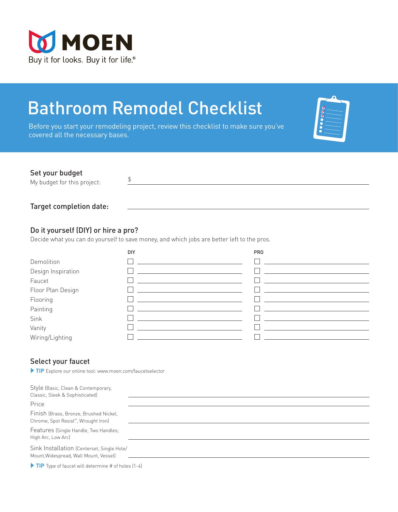

# Bathroom Remodel Checklist

 $\updownarrow$ 

Before you start your remodeling project, review this checklist to make sure you've covered all the necessary bases.

| ररर |  |
|-----|--|
|     |  |
|     |  |
|     |  |

## Set your budget

My budget for this project:

Target completion date:

## Do it yourself (DIY) or hire a pro?

Decide what you can do yourself to save money, and which jobs are better left to the pros.

|                    | DIY | <b>PRO</b> |
|--------------------|-----|------------|
| Demolition         |     |            |
| Design Inspiration |     |            |
| Faucet             |     |            |
| Floor Plan Design  |     |            |
| Flooring           |     |            |
| Painting           |     |            |
| Sink               |     |            |
| Vanity             |     |            |
| Wiring/Lighting    |     |            |

## Select your faucet

 **TIP** Explore our online tool: www.moen.com/faucetselector

| Style (Basic, Clean & Contemporary,<br>Classic, Sleek & Sophisticated)                     |  |
|--------------------------------------------------------------------------------------------|--|
| Price                                                                                      |  |
| Finish (Brass, Bronze, Brushed Nickel,<br>Chrome, Spot Resist <sup>™</sup> , Wrought Iron) |  |
| Features (Single Handle, Two Handles;<br>High Arc, Low Arc)                                |  |
| Sink Installation (Centerset, Single Hole/<br>Mount, Widespread, Wall Mount, Vessel)       |  |
| $\triangleright$ TIP Type of faucet will determine # of holes (1-4)                        |  |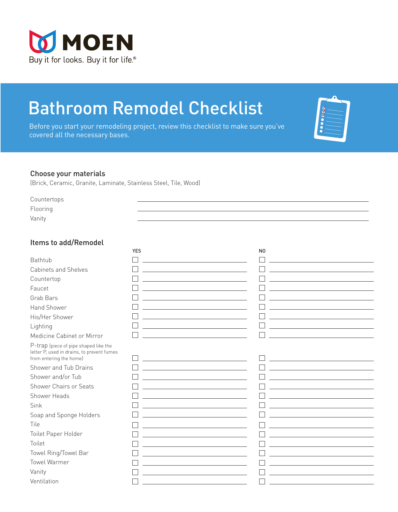

# Bathroom Remodel Checklist

Before you start your remodeling project, review this checklist to make sure you've covered all the necessary bases.

| ğ<br>ᢦ |  |
|--------|--|
|        |  |
|        |  |
|        |  |

#### Choose your materials

(Brick, Ceramic, Granite, Laminate, Stainless Steel, Tile, Wood)

Countertops Flooring

Vanity

#### Items to add/Remodel

|                                                                                                                | <b>YES</b> | N <sub>0</sub> |
|----------------------------------------------------------------------------------------------------------------|------------|----------------|
| Bathtub                                                                                                        |            |                |
| <b>Cabinets and Shelves</b>                                                                                    |            |                |
| Countertop                                                                                                     |            |                |
| Faucet                                                                                                         |            |                |
| Grab Bars                                                                                                      |            |                |
| Hand Shower                                                                                                    |            |                |
| His/Her Shower                                                                                                 |            |                |
| Lighting                                                                                                       |            |                |
| Medicine Cabinet or Mirror                                                                                     |            |                |
| P-trap (piece of pipe shaped like the<br>letter P, used in drains, to prevent fumes<br>from entering the home) |            |                |
| Shower and Tub Drains                                                                                          |            |                |
| Shower and/or Tub                                                                                              |            |                |
| Shower Chairs or Seats                                                                                         |            |                |
| Shower Heads                                                                                                   |            |                |
| Sink                                                                                                           |            |                |
| Soap and Sponge Holders                                                                                        |            |                |
| Tile                                                                                                           |            |                |
| Toilet Paper Holder                                                                                            |            |                |
| Toilet                                                                                                         |            |                |
| Towel Ring/Towel Bar                                                                                           |            |                |
| <b>Towel Warmer</b>                                                                                            |            |                |
| Vanity                                                                                                         |            |                |
| Ventilation                                                                                                    |            |                |